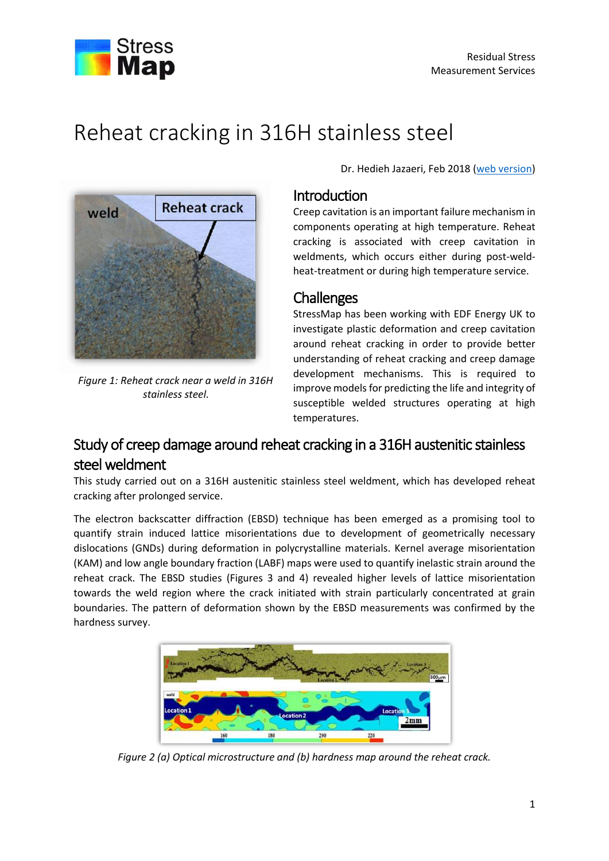

# Reheat cracking in 316H stainless steel



*Figure 1: Reheat crack near a weld in 316H stainless steel.*

Dr. Hedieh Jazaeri, Feb 2018 [\(web version\)](http://www.stressmap.co.uk/reheat-cracking-in-316H-stainless-steel)

#### Introduction

Creep cavitation is an important failure mechanism in components operating at high temperature. Reheat cracking is associated with creep cavitation in weldments, which occurs either during post-weldheat-treatment or during high temperature service.

### **Challenges**

StressMap has been working with EDF Energy UK to investigate plastic deformation and creep cavitation around reheat cracking in order to provide better understanding of reheat cracking and creep damage development mechanisms. This is required to improve models for predicting the life and integrity of susceptible welded structures operating at high temperatures.

# Study of creep damage around reheat cracking in a 316H austenitic stainless steel weldment

This study carried out on a 316H austenitic stainless steel weldment, which has developed reheat cracking after prolonged service.

The electron backscatter diffraction (EBSD) technique has been emerged as a promising tool to quantify strain induced lattice misorientations due to development of geometrically necessary dislocations (GNDs) during deformation in polycrystalline materials. Kernel average misorientation (KAM) and low angle boundary fraction (LABF) maps were used to quantify inelastic strain around the reheat crack. The EBSD studies (Figures 3 and 4) revealed higher levels of lattice misorientation towards the weld region where the crack initiated with strain particularly concentrated at grain boundaries. The pattern of deformation shown by the EBSD measurements was confirmed by the hardness survey.



*Figure 2 (a) Optical microstructure and (b) hardness map around the reheat crack.*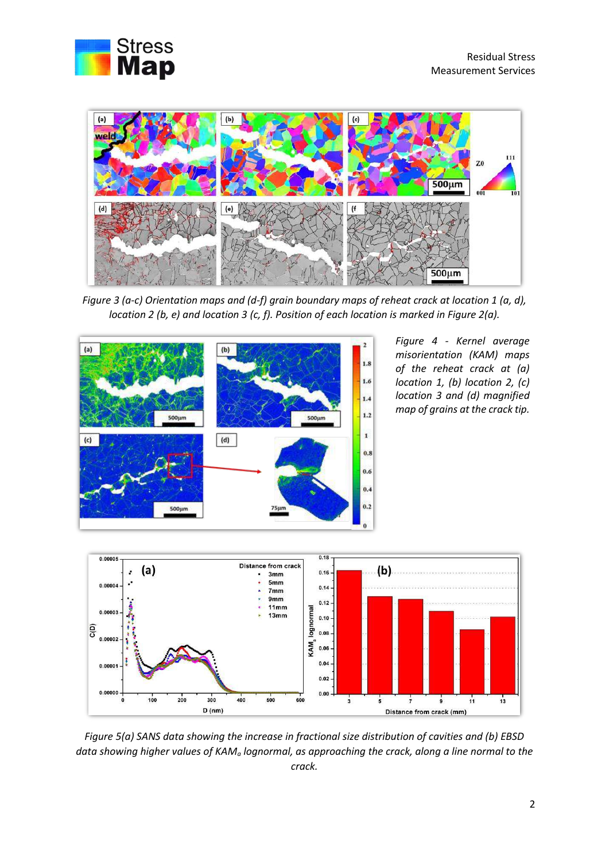



*Figure 3 (a-c) Orientation maps and (d-f) grain boundary maps of reheat crack at location 1 (a, d), location 2 (b, e) and location 3 (c, f). Position of each location is marked in Figure 2(a).*



*Figure 4 - Kernel average misorientation (KAM) maps of the reheat crack at (a) location 1, (b) location 2, (c) location 3 and (d) magnified map of grains at the crack tip.*



*Figure 5(a) SANS data showing the increase in fractional size distribution of cavities and (b) EBSD data showing higher values of KAM<sup>a</sup> lognormal, as approaching the crack, along a line normal to the crack.*